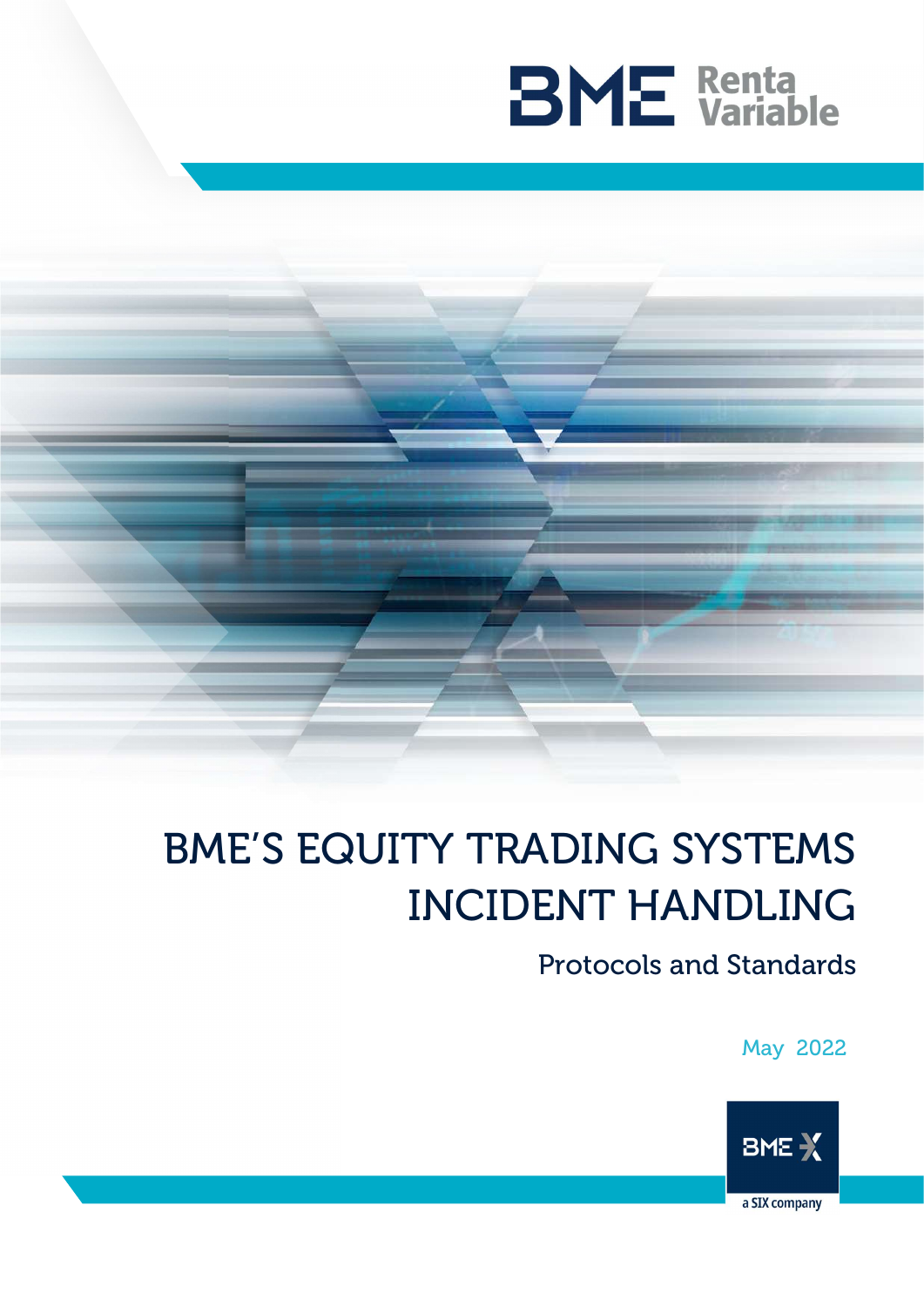

# BME'S EQUITY TRADING SYSTEMS INCIDENT HANDLING

Protocols and Standards

May 2022

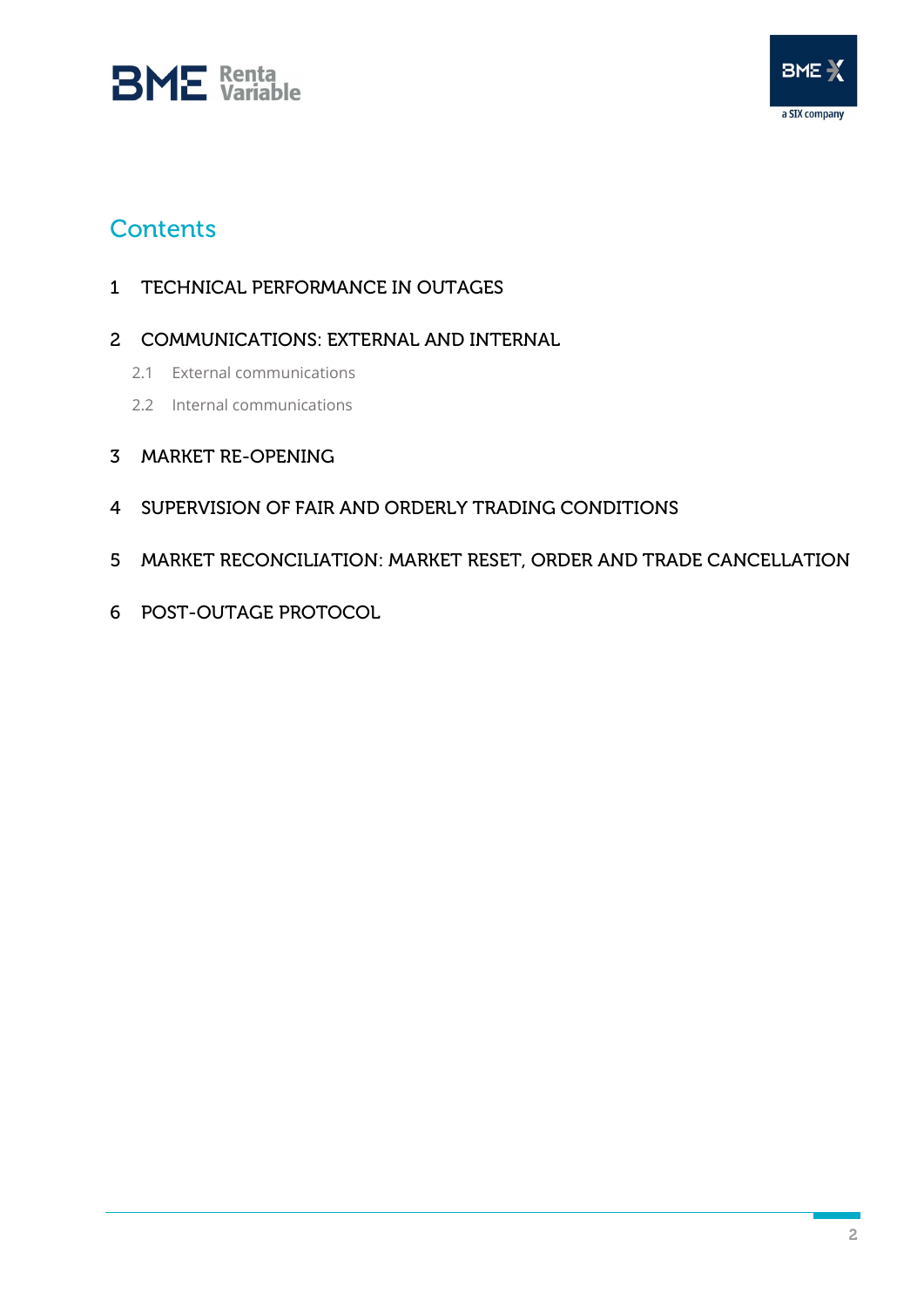



## **Contents**

- TECHNICAL PERFORMANCE IN OUTAGES
- COMMUNICATIONS: EXTERNAL AND INTERNAL
	- 2.1 External communications
	- 2.2 Internal communications
- MARKET RE-OPENING
- SUPERVISION OF FAIR AND ORDERLY TRADING CONDITIONS
- MARKET RECONCILIATION: MARKET RESET, ORDER AND TRADE CANCELLATION
- POST-OUTAGE PROTOCOL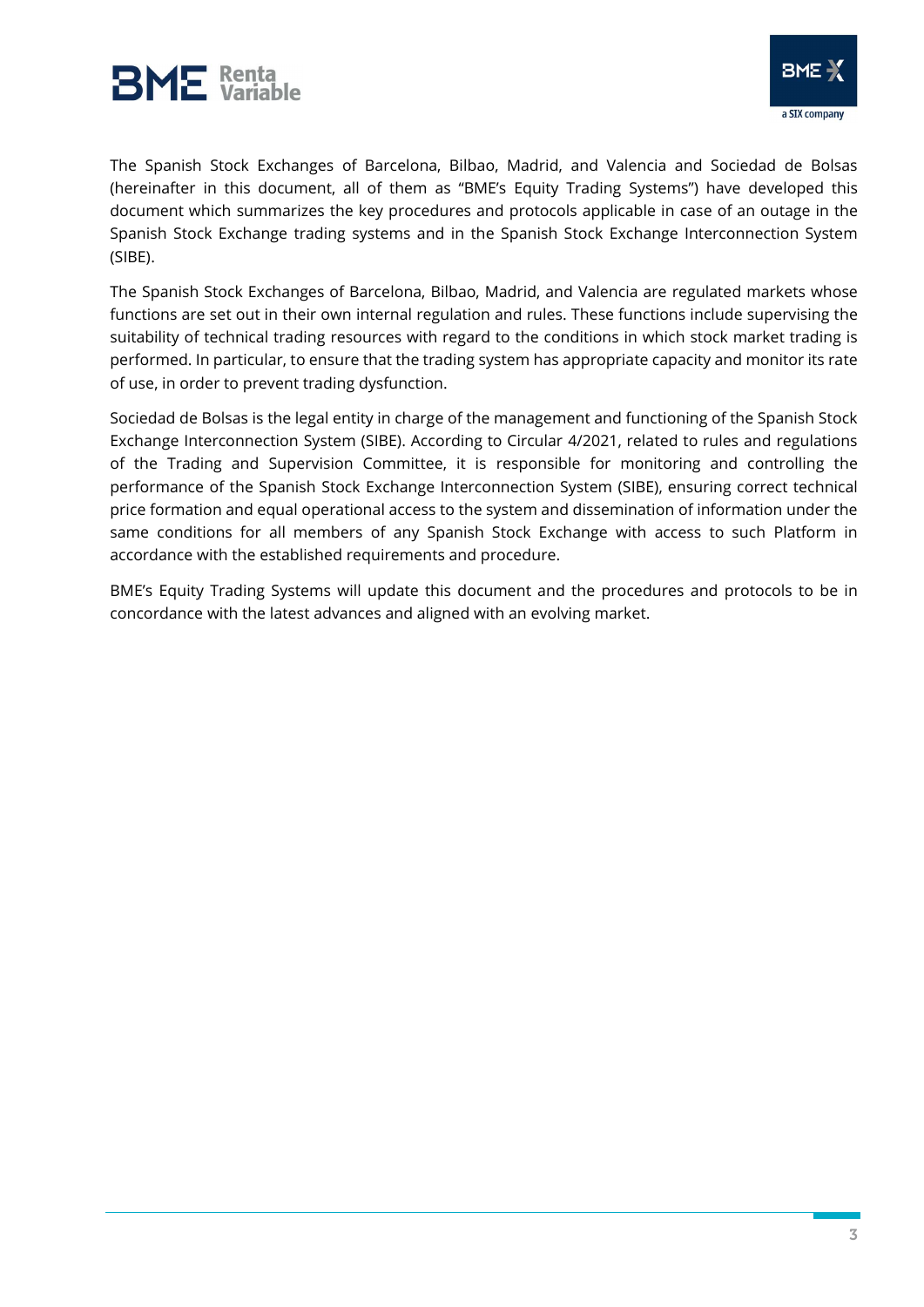



The Spanish Stock Exchanges of Barcelona, Bilbao, Madrid, and Valencia and Sociedad de Bolsas (hereinafter in this document, all of them as "BME's Equity Trading Systems") have developed this document which summarizes the key procedures and protocols applicable in case of an outage in the Spanish Stock Exchange trading systems and in the Spanish Stock Exchange Interconnection System (SIBE).

The Spanish Stock Exchanges of Barcelona, Bilbao, Madrid, and Valencia are regulated markets whose functions are set out in their own internal regulation and rules. These functions include supervising the suitability of technical trading resources with regard to the conditions in which stock market trading is performed. In particular, to ensure that the trading system has appropriate capacity and monitor its rate of use, in order to prevent trading dysfunction.

Sociedad de Bolsas is the legal entity in charge of the management and functioning of the Spanish Stock Exchange Interconnection System (SIBE). According to Circular 4/2021, related to rules and regulations of the Trading and Supervision Committee, it is responsible for monitoring and controlling the performance of the Spanish Stock Exchange Interconnection System (SIBE), ensuring correct technical price formation and equal operational access to the system and dissemination of information under the same conditions for all members of any Spanish Stock Exchange with access to such Platform in accordance with the established requirements and procedure.

BME's Equity Trading Systems will update this document and the procedures and protocols to be in concordance with the latest advances and aligned with an evolving market.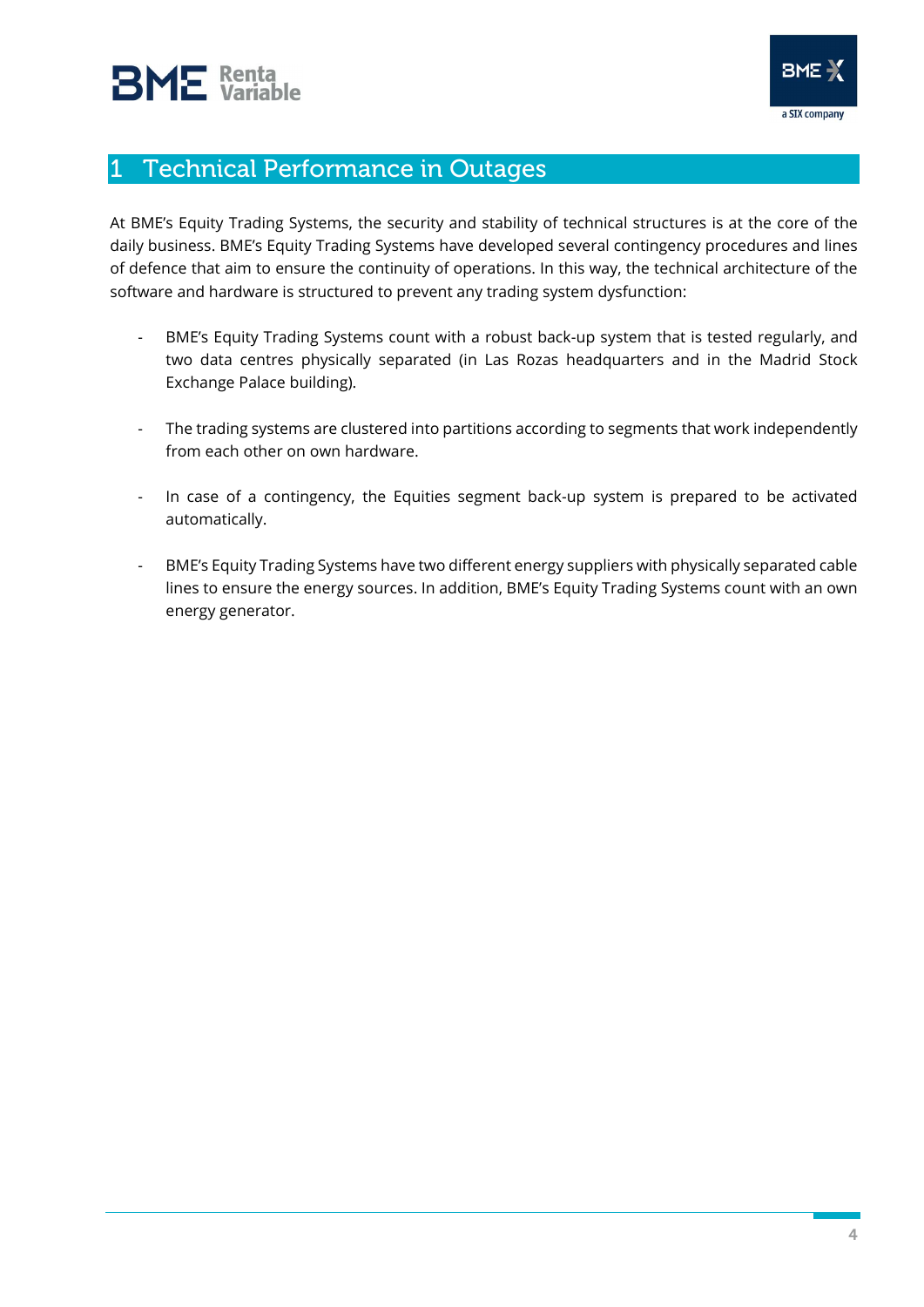

## 1 Technical Performance in Outages

At BME's Equity Trading Systems, the security and stability of technical structures is at the core of the daily business. BME's Equity Trading Systems have developed several contingency procedures and lines of defence that aim to ensure the continuity of operations. In this way, the technical architecture of the software and hardware is structured to prevent any trading system dysfunction:

- BME's Equity Trading Systems count with a robust back-up system that is tested regularly, and two data centres physically separated (in Las Rozas headquarters and in the Madrid Stock Exchange Palace building).
- The trading systems are clustered into partitions according to segments that work independently from each other on own hardware.
- In case of a contingency, the Equities segment back-up system is prepared to be activated automatically.
- BME's Equity Trading Systems have two different energy suppliers with physically separated cable lines to ensure the energy sources. In addition, BME's Equity Trading Systems count with an own energy generator.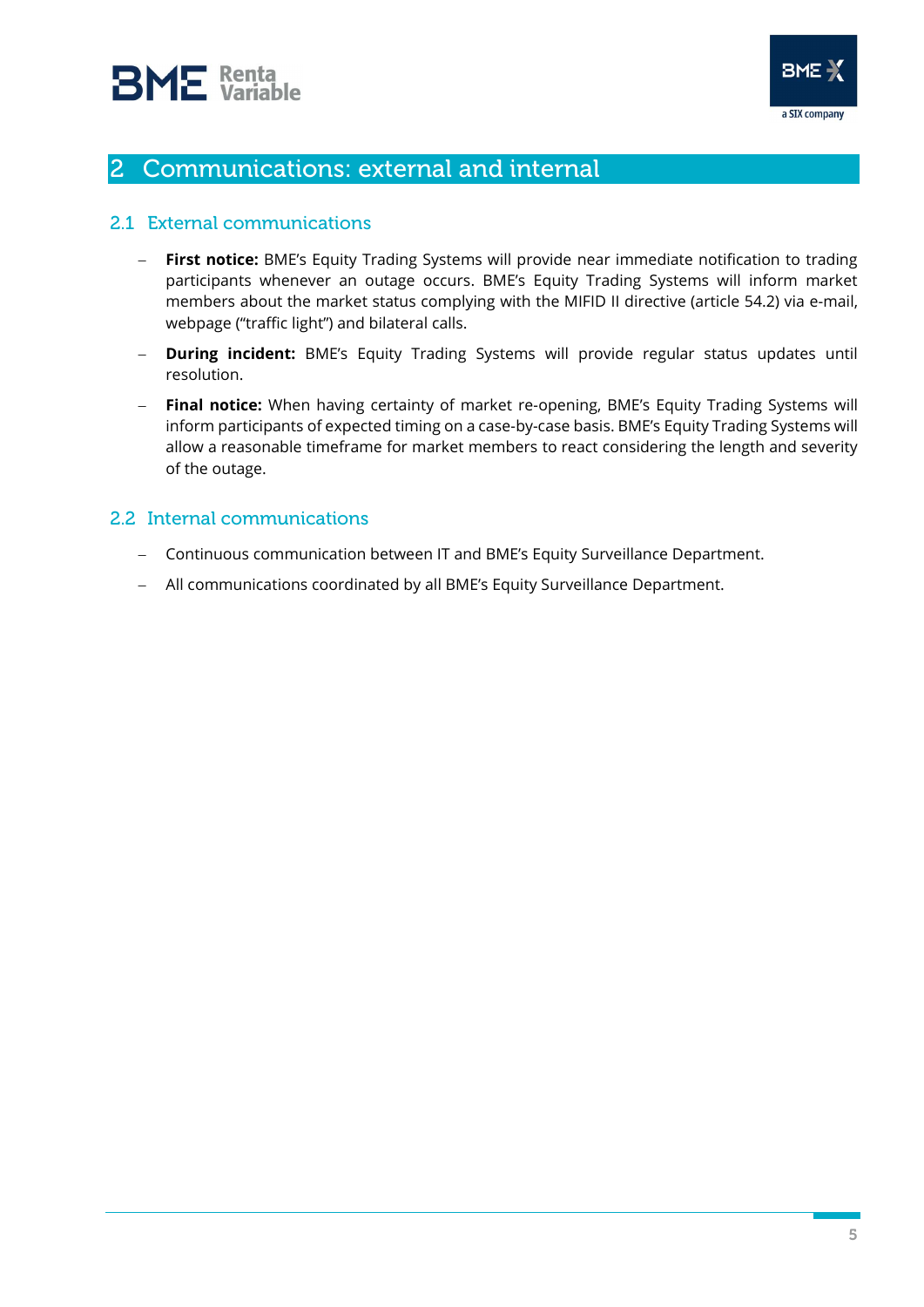

## 2 Communications: external and internal

#### 2.1 External communications

- First notice: BME's Equity Trading Systems will provide near immediate notification to trading participants whenever an outage occurs. BME's Equity Trading Systems will inform market members about the market status complying with the MIFID II directive (article 54.2) via e-mail, webpage ("traffic light") and bilateral calls.
- **During incident:** BME's Equity Trading Systems will provide regular status updates until resolution.
- Final notice: When having certainty of market re-opening, BME's Equity Trading Systems will inform participants of expected timing on a case-by-case basis. BME's Equity Trading Systems will allow a reasonable timeframe for market members to react considering the length and severity of the outage.

#### 2.2 Internal communications

- Continuous communication between IT and BME's Equity Surveillance Department.
- All communications coordinated by all BME's Equity Surveillance Department.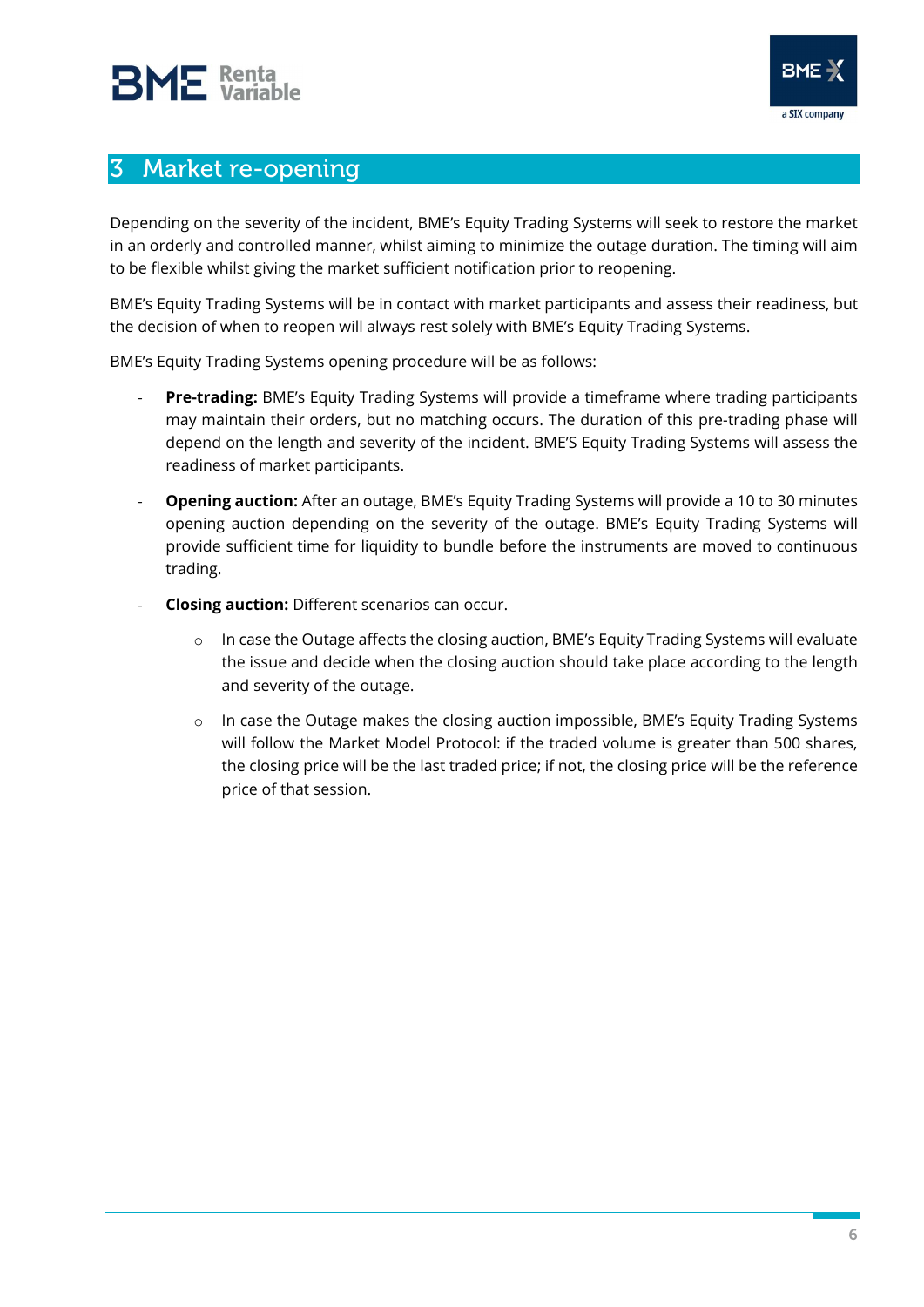

### 3 Market re-opening

Depending on the severity of the incident, BME's Equity Trading Systems will seek to restore the market in an orderly and controlled manner, whilst aiming to minimize the outage duration. The timing will aim to be flexible whilst giving the market sufficient notification prior to reopening.

BME's Equity Trading Systems will be in contact with market participants and assess their readiness, but the decision of when to reopen will always rest solely with BME's Equity Trading Systems.

BME's Equity Trading Systems opening procedure will be as follows:

- Pre-trading: BME's Equity Trading Systems will provide a timeframe where trading participants may maintain their orders, but no matching occurs. The duration of this pre-trading phase will depend on the length and severity of the incident. BME'S Equity Trading Systems will assess the readiness of market participants.
- **Opening auction:** After an outage, BME's Equity Trading Systems will provide a 10 to 30 minutes opening auction depending on the severity of the outage. BME's Equity Trading Systems will provide sufficient time for liquidity to bundle before the instruments are moved to continuous trading.
- Closing auction: Different scenarios can occur.
	- $\circ$  In case the Outage affects the closing auction, BME's Equity Trading Systems will evaluate the issue and decide when the closing auction should take place according to the length and severity of the outage.
	- o In case the Outage makes the closing auction impossible, BME's Equity Trading Systems will follow the Market Model Protocol: if the traded volume is greater than 500 shares, the closing price will be the last traded price; if not, the closing price will be the reference price of that session.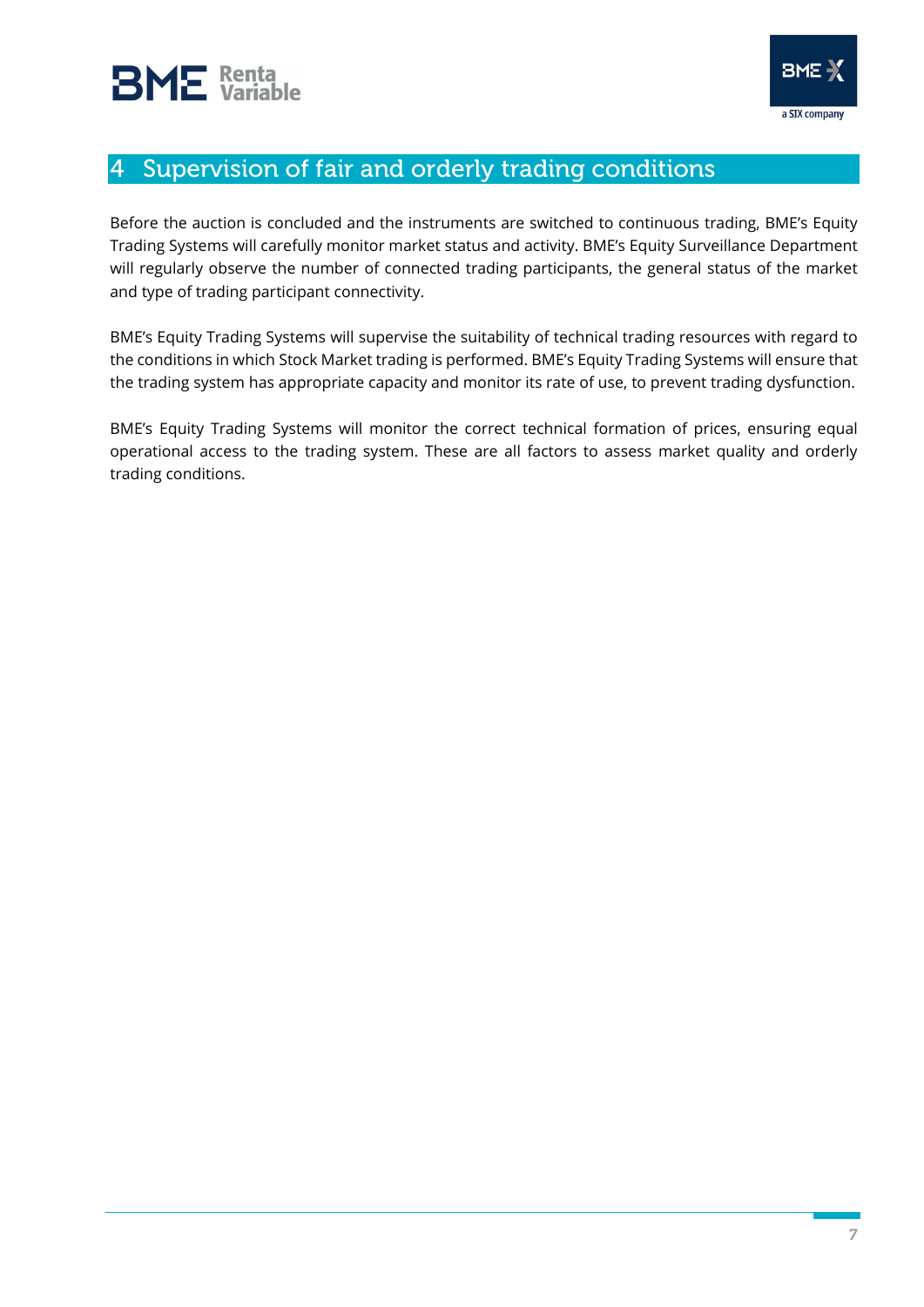

## 4 Supervision of fair and orderly trading conditions

Before the auction is concluded and the instruments are switched to continuous trading, BME's Equity Trading Systems will carefully monitor market status and activity. BME's Equity Surveillance Department will regularly observe the number of connected trading participants, the general status of the market and type of trading participant connectivity.

BME's Equity Trading Systems will supervise the suitability of technical trading resources with regard to the conditions in which Stock Market trading is performed. BME's Equity Trading Systems will ensure that the trading system has appropriate capacity and monitor its rate of use, to prevent trading dysfunction.

BME's Equity Trading Systems will monitor the correct technical formation of prices, ensuring equal operational access to the trading system. These are all factors to assess market quality and orderly trading conditions.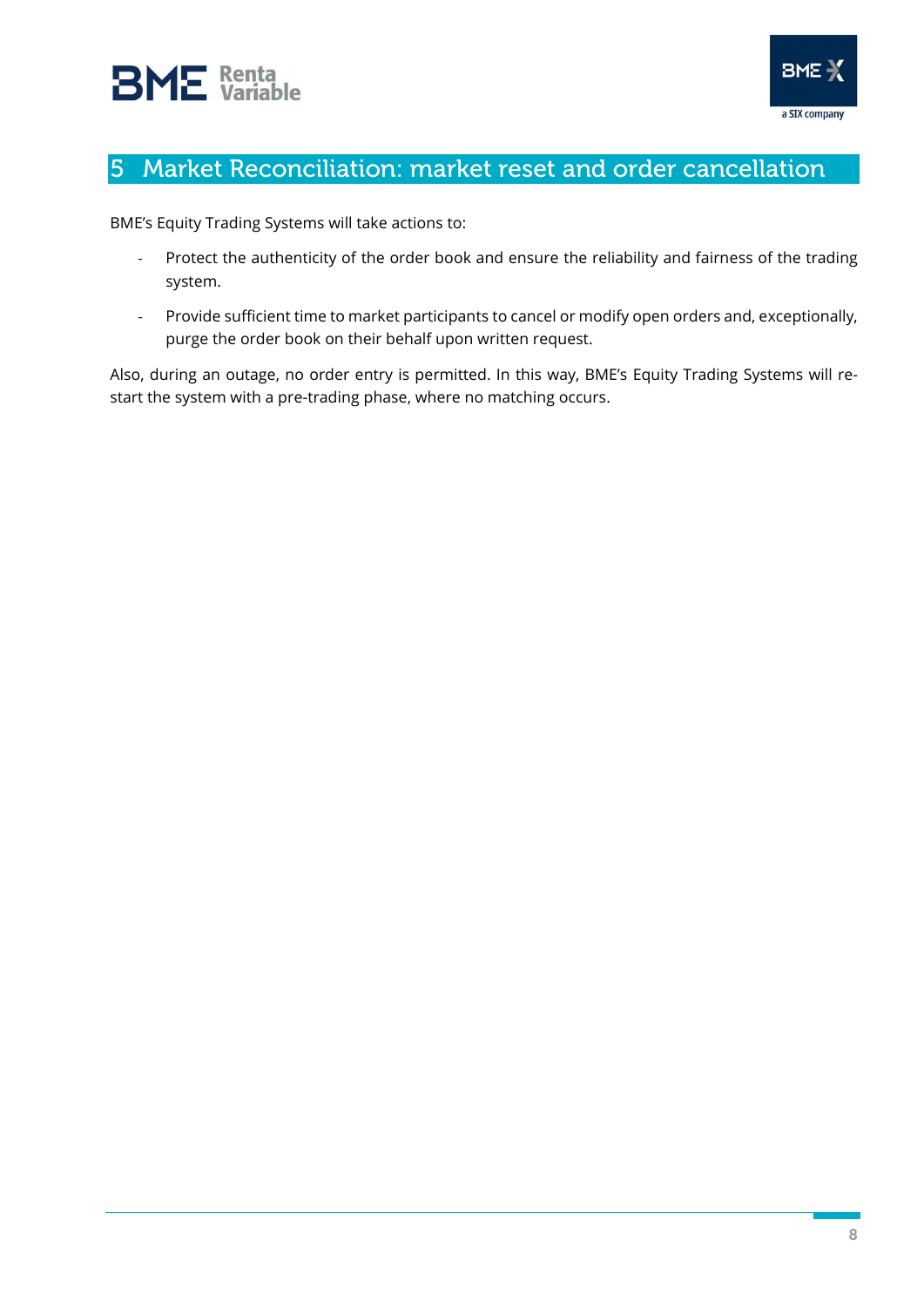



## 5 Market Reconciliation: market reset and order cancellation

BME's Equity Trading Systems will take actions to:

- Protect the authenticity of the order book and ensure the reliability and fairness of the trading system.
- Provide sufficient time to market participants to cancel or modify open orders and, exceptionally, purge the order book on their behalf upon written request.

Also, during an outage, no order entry is permitted. In this way, BME's Equity Trading Systems will restart the system with a pre-trading phase, where no matching occurs.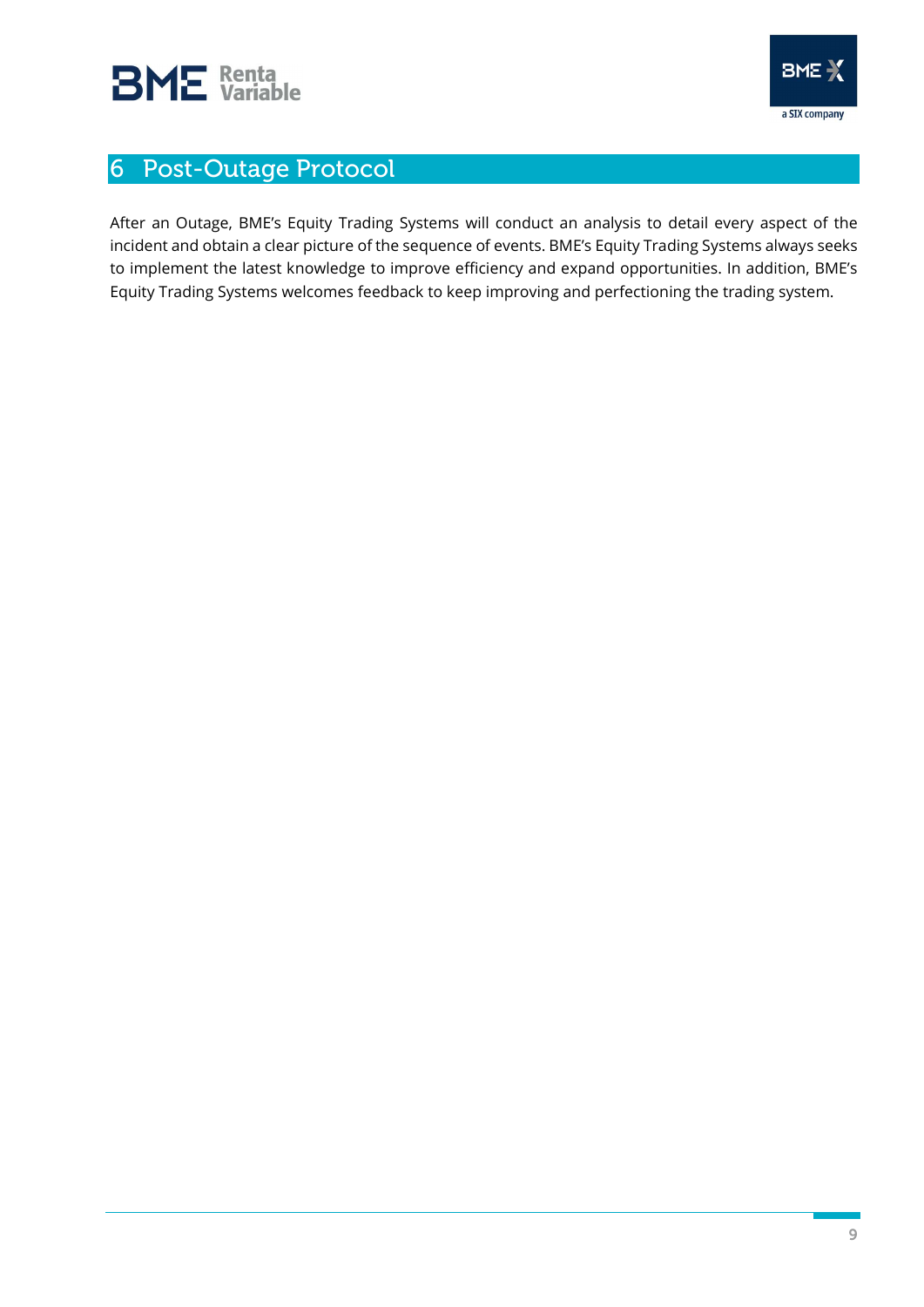

# 6 Post-Outage Protocol

After an Outage, BME's Equity Trading Systems will conduct an analysis to detail every aspect of the incident and obtain a clear picture of the sequence of events. BME's Equity Trading Systems always seeks to implement the latest knowledge to improve efficiency and expand opportunities. In addition, BME's Equity Trading Systems welcomes feedback to keep improving and perfectioning the trading system.